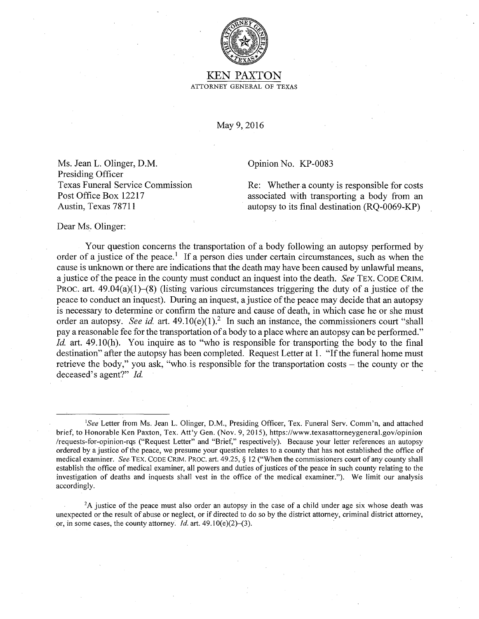

## KEN PAXTON ATTORNEY GENERAL OF TEXAS

May 9, 2016

Ms. Jean L. Olinger, D.M. Presiding Officer Texas Funeral Service Commission Post Office Box 12217 Austin, Texas 78711

Opinion No. KP-0083

Re: Whether a county is responsible for costs associated with transporting a body from an autopsy to its final destination (RQ-0069-KP)

Dear Ms. Olinger:

Your question concerns the transportation of a body following an autopsy performed by order of a justice of the peace.<sup>1</sup> If a person dies under certain circumstances, such as when the cause is unknown or there are indications that the death may have been caused by unlawful means, a justice of the peace in the county must conduct an inquest into the death. *See* TEX. CODE CRIM. PROC. art.  $49.04(a)(1)–(8)$  (listing various circumstances triggering the duty of a justice of the peace to conduct an inquest). During an inquest, a justice of the peace may decide that an autopsy is necessary to determine or confirm the nature and cause of death, in which case he or she must order an autopsy. *See id.* art.  $49.10(e)(1)^2$  In such an instance, the commissioners court "shall pay a reasonable fee for the transportation of a body to a place where an autopsy can be performed." *Id.* art. 49.10(h). You inquire as to "who is responsible for transporting the body to the final destination" after the autopsy has been completed. Request Letter at 1. "If the funeral home must retrieve the body," you ask, "who is responsible for the transportation costs  $-$  the county or the deceased's agent?" *Id.* 

<sup>1</sup>See Letter from Ms. Jean L. Olinger, D.M., Presiding Officer, Tex. Funeral Serv. Comm'n, and attached brief, to Honorable Ken Paxton, Tex. Att'y Gen. (Nov. 9, 2015), https://www.texasattorneygeneral.gov/opinion /requests-for-opinion-rqs ("Request Letter" and "Brief," respectively). Because your letter references an autopsy ordered by a justice of the peace, we presume your question relates to a county that has not established the office of medical examiner. *See*. TEX. CODE CRIM. PROC. art. 49.25, § 12 ("When the commissioners court of any county shall establish the office of medical examiner, all powers and duties of justices of the peace in such county relating to the investigation of deaths and inquests shall vest in the office of the medical examiner."). We limit our analysis accordingly.

<sup>2</sup>A justice of the peace must also order an autopsy in the case of a child under age six whose death was unexpected or the result of abuse or neglect, or if directed to do so by the district attorney, criminal district attorney, or, in some cases, the county attorney. *Id.* art. 49.10(e)(2)–(3).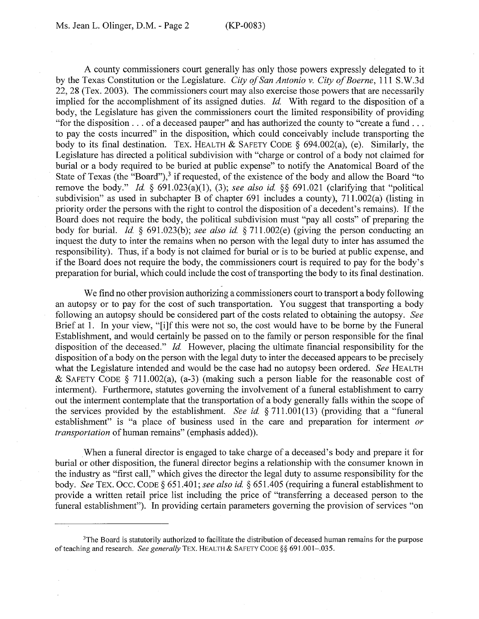A county commissioners court generally has only those powers expressly delegated to it by the Texas Constitution or the Legislature. *City of San Antonio v. City of Boerne,* 111 S.W.3d 22, 28 (Tex. 2003). The commissioners court may also exercise those powers that are necessarily implied for the accomplishment of its assigned duties. *Id.* With regard to the disposition of a body, the Legislature has given the commissioners court the limited responsibility of providing "for the disposition ... of a deceased pauper" and has authorized the county to "create a fund ... to pay the costs incurred" in the disposition, which could conceivably include transporting the body to its final destination. TEX. HEALTH & SAFETY CODE § 694.002(a), (e). Similarly, the Legislature has directed a political subdivision with "charge or control of a body not claimed for burial or a body required to be buried at public expense" to notify the Anatomical Board of the State of Texas (the "Board"), $3$  if requested, of the existence of the body and allow the Board "to remove the body." *Id.*  $\S$  691.023(a)(1), (3); *see also id.*  $\S$  $\S$  691.021 (clarifying that "political subdivision" as used in subchapter B of chapter 691 includes a county), 711.002(a) (listing in priority order the persons with the right to control the disposition of a decedent's remains). If the Board does not require the body, the political subdivision must "pay all costs" of preparing the body for burial. *Id.* § 691.023(b); *see also id.* § 71 l.002(e) (giving the person conducting an inquest the duty to inter the remains when no person with the legal duty to inter has assumed the responsibility). Thus, if a body is not claimed for burial or is to be buried at public expense, and if the Board does not require the body, the commissioners court is required to pay for the body's preparation for burial, which could include the cost of transporting the body to its final destination.

We find no other provision authorizing a commissioners court to transport a body following an autopsy or to pay for the cost of such transportation. You suggest that transporting a body following an autopsy should be considered part of the costs related to obtaining the autopsy. *See*  Brief at 1. In your view, "[i]f this were not so, the cost would have to be borne by the Funeral Establishment, and would certainly be passed on to the family or person responsible for the final disposition of the deceased." *Id.* However, placing the ultimate financial responsibility for the disposition of a body on the person with the legal duty to inter the deceased appears to be precisely what the Legislature intended and would be the case had no autopsy been ordered. *See* HEALTH & SAFETY CODE § 711.002(a), (a-3) (making such a person liable for the reasonable cost of interment). Furthermore, statutes governing the involvement of a funeral establishment to carry out the interment contemplate that the transportation of a body generally falls within the scope of the services provided by the establishment. *See id.* § 711.001(13) (providing that a "funeral establishment" is "a place of business used in the care and preparation for interment *or transportation* of human remains" (emphasis added)).

When a funeral director is engaged to take charge of a deceased's body and prepare it for burial or other disposition, the funeral director begins a relationship with the consumer known in the industry as "first call," which gives the director the legal duty to assume responsibility for the body. *See* TEX. Occ. CODE§ 651.401; *see also id.* § 651.405 (requiring a funeral establishment to provide a written retail price list including the price of "transferring a deceased person to the funeral establishment"). In providing certain parameters governing the provision of services "on

<sup>&</sup>lt;sup>3</sup>The Board is statutorily authorized to facilitate the distribution of deceased human remains for the purpose of teaching and research. *See generally* TEX. HEALTH & SAFETY CODE§§ 691.001-.035.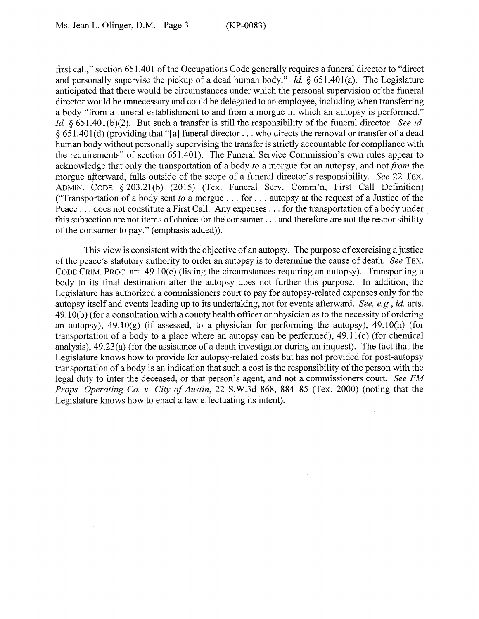first call," section 651.401 of the Occupations Code generally requires a funeral director to "direct and personally supervise the pickup of a dead human body." *Id.* § 651.401(a). The Legislature anticipated that there would be circumstances under which the personal supervision of the funeral director would be unnecessary and could be delegated to an employee, including when transferring a body "from a funeral establishment to and from a morgue in which an autopsy is performed." *Id.* § 651.401(b)(2). But such a transfer is still the responsibility of the funeral director. *See id.* § 651.401(d) (providing that "[a] funeral director  $\dots$  who directs the removal or transfer of a dead human body without personally supervising the transfer is strictly accountable for compliance with the requirements" of section 651.401). The Funeral Service Commission's own rules appear to acknowledge that only the transportation of a body *to* a morgue for an autopsy, and not *from* the morgue afterward, falls outside of the scope of a funeral director's responsibility. *See* 22 TEX. ADMIN. CODE § 203.21(b) (2015) (Tex. Funeral Serv. Comm'n, First Call Definition) ("Transportation of a body sent *to* a morgue ... for ... autopsy at the request of a Justice of the Peace ... does not constitute a First Call. Any expenses ... for the transportation of a body under this subsection are not items of choice for the consumer  $\dots$  and therefore are not the responsibility of the consumer to pay." (emphasis added)).

This view is consistent with the objective of an autopsy. The purpose of exercising a justice of the peace's statutory authority to order an autopsy is to determine the cause of death. *See* TEX. CODE CRIM. PROC. art. 49.IO(e) (listing the circumstances requiring an autopsy). Transporting a body to its final destination after the autopsy does not further this purpose. In addition, the Legislature has authorized a commissioners court to pay for autopsy-related expenses only for the autopsy itself and events leading up to its undertaking, not for events afterward. *See, e.g., id.* arts. 49 .1 O(b) (for a consultation with a county health officer or physician as to the necessity of ordering an autopsy),  $49.10(g)$  (if assessed, to a physician for performing the autopsy),  $49.10(h)$  (for transportation of a body to a place where an autopsy can be performed), 49.1 l(c) (for chemical analysis), 49.23(a) (for the assistance of a death investigator during an inquest). The fact that the Legislature knows how to provide for autopsy-related costs but has not provided for post-autopsy transportation of a body is an indication that such a cost is the responsibility of the person with the legal duty to inter the deceased, or that person's agent, and not a commissioners court. *See FM Props. Operating Co. v. City of Austin,* 22 S.W.3d 868, 884-85 (Tex. 2000) (noting that the Legislature knows how to enact a law effectuating its intent).